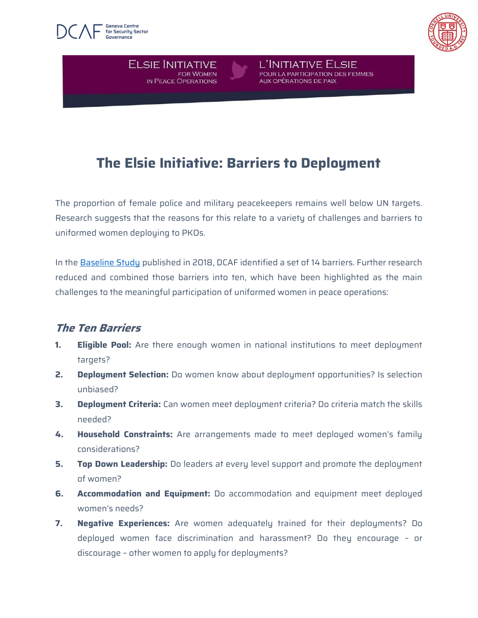

**ELSIE INITIATIVE** 

**IN PEACE OPERATIONS** 

FOR WOMEN



# **The Elsie Initiative: Barriers to Deployment**

L'INITIATIVE ELSIE

**AUX OPÉRATIONS DE PAIX** 

POUR LA PARTICIPATION DES FEMMES

The proportion of female police and military peacekeepers remains well below UN targets. Research suggests that the reasons for this relate to a variety of challenges and barriers to uniformed women deploying to PKOs.

In the [Baseline Study](https://www.dcaf.ch/sites/default/files/publications/documents/Elsie_GenderReport_2018_Final.pdf) published in 2018, DCAF identified a set of 14 barriers. Further research reduced and combined those barriers into ten, which have been highlighted as the main challenges to the meaningful participation of uniformed women in peace operations:

### **The Ten Barriers**

- **1. Eligible Pool:** Are there enough women in national institutions to meet deployment targets?
- **2. Deployment Selection:** Do women know about deployment opportunities? Is selection unbiased?
- **3. Deployment Criteria:** Can women meet deployment criteria? Do criteria match the skills needed?
- **4. Household Constraints:** Are arrangements made to meet deployed women's family considerations?
- **5. Top Down Leadership:** Do leaders at every level support and promote the deployment of women?
- **6. Accommodation and Equipment:** Do accommodation and equipment meet deployed women's needs?
- **7. Negative Experiences:** Are women adequately trained for their deployments? Do deployed women face discrimination and harassment? Do they encourage – or discourage – other women to apply for deployments?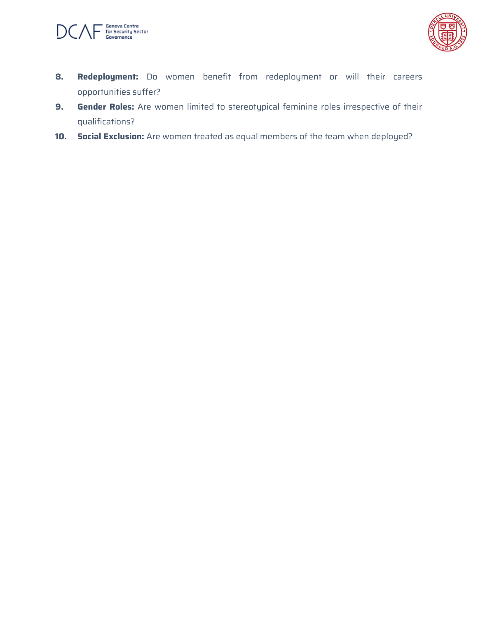



- **8. Redeployment:** Do women benefit from redeployment or will their careers opportunities suffer?
- **9. Gender Roles:** Are women limited to stereotypical feminine roles irrespective of their qualifications?
- **10. Social Exclusion:** Are women treated as equal members of the team when deployed?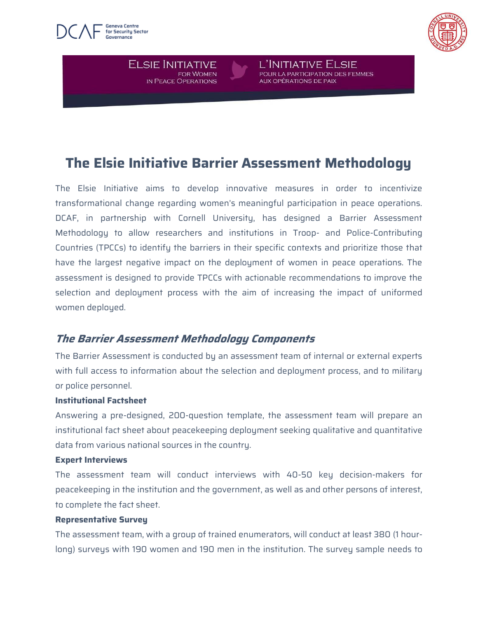



L'INITIATIVE ELSIE POUR LA PARTICIPATION DES FEMMES **AUX OPÉRATIONS DE PAIX** 

# **The Elsie Initiative Barrier Assessment Methodology**

The Elsie Initiative aims to develop innovative measures in order to incentivize transformational change regarding women's meaningful participation in peace operations. DCAF, in partnership with Cornell University, has designed a Barrier Assessment Methodology to allow researchers and institutions in Troop- and Police-Contributing Countries (TPCCs) to identify the barriers in their specific contexts and prioritize those that have the largest negative impact on the deployment of women in peace operations. The assessment is designed to provide TPCCs with actionable recommendations to improve the selection and deployment process with the aim of increasing the impact of uniformed women deployed.

### **The Barrier Assessment Methodology Components**

**ELSIE INITIATIVE** 

**IN PEACE OPERATIONS** 

FOR WOMEN

The Barrier Assessment is conducted by an assessment team of internal or external experts with full access to information about the selection and deployment process, and to military or police personnel.

#### **Institutional Factsheet**

Answering a pre-designed, 200-question template, the assessment team will prepare an institutional fact sheet about peacekeeping deployment seeking qualitative and quantitative data from various national sources in the country.

#### **Expert Interviews**

The assessment team will conduct interviews with 40-50 key decision-makers for peacekeeping in the institution and the government, as well as and other persons of interest, to complete the fact sheet.

#### **Representative Survey**

The assessment team, with a group of trained enumerators, will conduct at least 380 (1 hourlong) surveys with 190 women and 190 men in the institution. The survey sample needs to